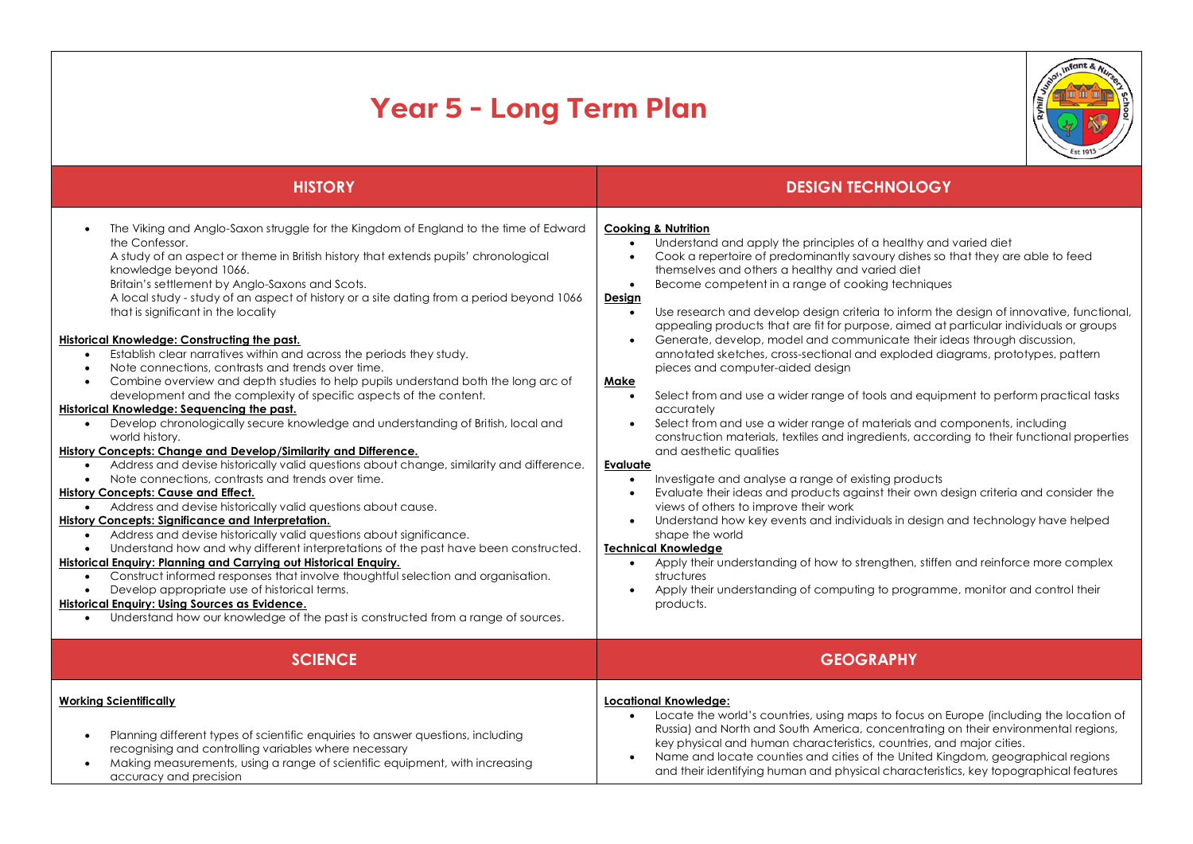## **Year 5 - Long Term Plan**



| <b>HISTORY</b>                                                                                                                                                                                                                                                                                                                                                                                                                                                                                                                                                                                                                                                                                                                                                                                                                                                                                                                                                                                                                                                                                                                                                                                                                                                                                                                                                                                                                                                                                                                                                                                                                                                                                                                                                                                                                                                                                                                                                       | <b>DESIGN TECHNOLOGY</b>                                                                                                                                                                                                                                                                                                                                                                                                                                                                                                                                                                                                                                                                                                                                                                                                                                                                                                                                                                                                                                                                                                                                                                                                                                                                                                                                                                                                                                                                                                                                                                                                                                                                                                 |
|----------------------------------------------------------------------------------------------------------------------------------------------------------------------------------------------------------------------------------------------------------------------------------------------------------------------------------------------------------------------------------------------------------------------------------------------------------------------------------------------------------------------------------------------------------------------------------------------------------------------------------------------------------------------------------------------------------------------------------------------------------------------------------------------------------------------------------------------------------------------------------------------------------------------------------------------------------------------------------------------------------------------------------------------------------------------------------------------------------------------------------------------------------------------------------------------------------------------------------------------------------------------------------------------------------------------------------------------------------------------------------------------------------------------------------------------------------------------------------------------------------------------------------------------------------------------------------------------------------------------------------------------------------------------------------------------------------------------------------------------------------------------------------------------------------------------------------------------------------------------------------------------------------------------------------------------------------------------|--------------------------------------------------------------------------------------------------------------------------------------------------------------------------------------------------------------------------------------------------------------------------------------------------------------------------------------------------------------------------------------------------------------------------------------------------------------------------------------------------------------------------------------------------------------------------------------------------------------------------------------------------------------------------------------------------------------------------------------------------------------------------------------------------------------------------------------------------------------------------------------------------------------------------------------------------------------------------------------------------------------------------------------------------------------------------------------------------------------------------------------------------------------------------------------------------------------------------------------------------------------------------------------------------------------------------------------------------------------------------------------------------------------------------------------------------------------------------------------------------------------------------------------------------------------------------------------------------------------------------------------------------------------------------------------------------------------------------|
| The Viking and Anglo-Saxon struggle for the Kingdom of England to the time of Edward<br>the Confessor.<br>A study of an aspect or theme in British history that extends pupils' chronological<br>knowledge beyond 1066.<br>Britain's settlement by Anglo-Saxons and Scots.<br>A local study - study of an aspect of history or a site dating from a period beyond 1066<br>that is significant in the locality<br>Historical Knowledge: Constructing the past.<br>Establish clear narratives within and across the periods they study.<br>$\bullet$<br>Note connections, contrasts and trends over time.<br>Combine overview and depth studies to help pupils understand both the long arc of<br>$\bullet$<br>development and the complexity of specific aspects of the content.<br>Historical Knowledge: Sequencing the past.<br>Develop chronologically secure knowledge and understanding of British, local and<br>$\bullet$<br>world history.<br>History Concepts: Change and Develop/Similarity and Difference.<br>Address and devise historically valid questions about change, similarity and difference.<br>$\bullet$<br>Note connections, contrasts and trends over time.<br>$\bullet$<br><b>History Concepts: Cause and Effect.</b><br>Address and devise historically valid questions about cause.<br>$\bullet$<br>History Concepts: Significance and Interpretation.<br>Address and devise historically valid questions about significance.<br>$\bullet$<br>Understand how and why different interpretations of the past have been constructed.<br>$\bullet$<br>Historical Enguiry: Planning and Carrying out Historical Enguiry.<br>Construct informed responses that involve thoughtful selection and organisation.<br>$\bullet$<br>Develop appropriate use of historical terms.<br>$\bullet$<br><b>Historical Enquiry: Using Sources as Evidence.</b><br>Understand how our knowledge of the past is constructed from a range of sources.<br>$\bullet$ | <b>Cooking &amp; Nutrition</b><br>Understand and apply the principles of a healthy and varied diet<br>$\bullet$<br>Cook a repertoire of predominantly savoury dishes so that they are able to feed<br>$\bullet$<br>themselves and others a healthy and varied diet<br>Become competent in a range of cooking techniques<br>$\bullet$<br>Design<br>Use research and develop design criteria to inform the design of innovative, functional,<br>$\bullet$<br>appealing products that are fit for purpose, aimed at particular individuals or groups<br>Generate, develop, model and communicate their ideas through discussion,<br>$\bullet$<br>annotated sketches, cross-sectional and exploded diagrams, prototypes, pattern<br>pieces and computer-aided design<br>Make<br>Select from and use a wider range of tools and equipment to perform practical tasks<br>$\bullet$<br>accurately<br>Select from and use a wider range of materials and components, including<br>$\bullet$<br>construction materials, textiles and ingredients, according to their functional properties<br>and aesthetic qualities<br>Evaluate<br>Investigate and analyse a range of existing products<br>$\bullet$<br>Evaluate their ideas and products against their own design criteria and consider the<br>$\bullet$<br>views of others to improve their work<br>Understand how key events and individuals in design and technology have helped<br>$\bullet$<br>shape the world<br><b>Technical Knowledge</b><br>Apply their understanding of how to strengthen, stiffen and reinforce more complex<br>$\bullet$<br>structures<br>Apply their understanding of computing to programme, monitor and control their<br>$\bullet$<br>products. |
| <b>SCIENCE</b>                                                                                                                                                                                                                                                                                                                                                                                                                                                                                                                                                                                                                                                                                                                                                                                                                                                                                                                                                                                                                                                                                                                                                                                                                                                                                                                                                                                                                                                                                                                                                                                                                                                                                                                                                                                                                                                                                                                                                       | <b>GEOGRAPHY</b>                                                                                                                                                                                                                                                                                                                                                                                                                                                                                                                                                                                                                                                                                                                                                                                                                                                                                                                                                                                                                                                                                                                                                                                                                                                                                                                                                                                                                                                                                                                                                                                                                                                                                                         |
| <b>Working Scientifically</b><br>Planning different types of scientific enquiries to answer questions, including<br>recognising and controlling variables where necessary<br>Making measurements, using a range of scientific equipment, with increasing<br>$\bullet$<br>accuracy and precision                                                                                                                                                                                                                                                                                                                                                                                                                                                                                                                                                                                                                                                                                                                                                                                                                                                                                                                                                                                                                                                                                                                                                                                                                                                                                                                                                                                                                                                                                                                                                                                                                                                                      | <b>Locational Knowledge:</b><br>Locate the world's countries, using maps to focus on Europe (including the location of<br>$\bullet$<br>Russia) and North and South America, concentrating on their environmental regions,<br>key physical and human characteristics, countries, and major cities.<br>Name and locate counties and cities of the United Kingdom, geographical regions<br>and their identifying human and physical characteristics, key topographical features                                                                                                                                                                                                                                                                                                                                                                                                                                                                                                                                                                                                                                                                                                                                                                                                                                                                                                                                                                                                                                                                                                                                                                                                                                             |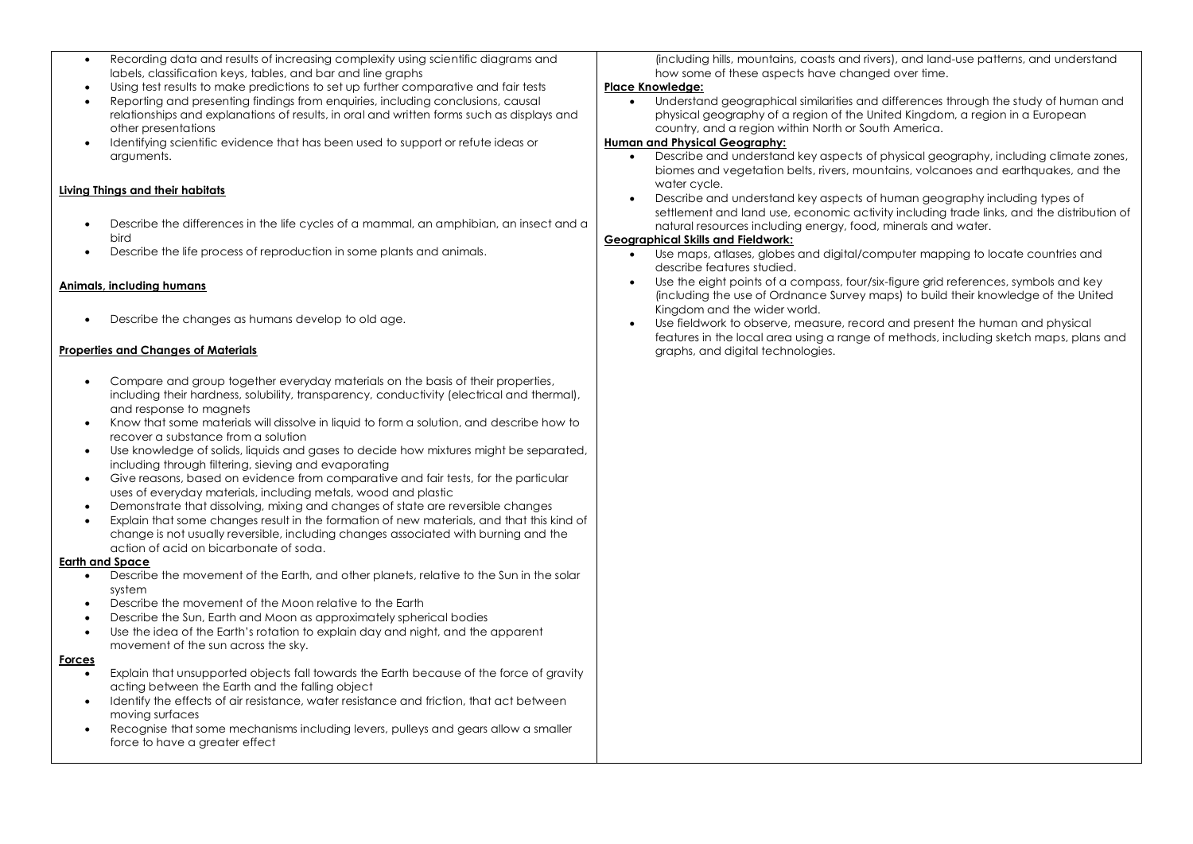| $\bullet$ | Recording data and results of increasing complexity using scientific diagrams and<br>labels, classification keys, tables, and bar and line graphs                            | (including hills, mountains, coasts and rivers), and land-use patterns, and understand<br>how some of these aspects have changed over time.                               |
|-----------|------------------------------------------------------------------------------------------------------------------------------------------------------------------------------|---------------------------------------------------------------------------------------------------------------------------------------------------------------------------|
|           | Using test results to make predictions to set up further comparative and fair tests                                                                                          | <b>Place Knowledge:</b>                                                                                                                                                   |
|           | Reporting and presenting findings from enquiries, including conclusions, causal<br>relationships and explanations of results, in oral and written forms such as displays and | Understand geographical similarities and differences through the study of human and<br>physical geography of a region of the United Kingdom, a region in a European       |
|           | other presentations                                                                                                                                                          | country, and a region within North or South America.                                                                                                                      |
|           | Identifying scientific evidence that has been used to support or refute ideas or                                                                                             | Human and Physical Geography:                                                                                                                                             |
|           | arguments.                                                                                                                                                                   | Describe and understand key aspects of physical geography, including climate zones,<br>biomes and vegetation belts, rivers, mountains, volcanoes and earthquakes, and the |
|           | Living Things and their habitats                                                                                                                                             | water cycle.                                                                                                                                                              |
|           |                                                                                                                                                                              | Describe and understand key aspects of human geography including types of                                                                                                 |
|           | Describe the differences in the life cycles of a mammal, an amphibian, an insect and a                                                                                       | settlement and land use, economic activity including trade links, and the distribution of                                                                                 |
|           | bird                                                                                                                                                                         | natural resources including energy, food, minerals and water.                                                                                                             |
| $\bullet$ | Describe the life process of reproduction in some plants and animals.                                                                                                        | <b>Geographical Skills and Fieldwork:</b>                                                                                                                                 |
|           |                                                                                                                                                                              | Use maps, atlases, globes and digital/computer mapping to locate countries and<br>$\bullet$                                                                               |
|           |                                                                                                                                                                              | describe features studied.                                                                                                                                                |
|           | Animals, including humans                                                                                                                                                    | Use the eight points of a compass, four/six-figure grid references, symbols and key<br>(including the use of Ordnance Survey maps) to build their knowledge of the United |
|           |                                                                                                                                                                              | Kingdom and the wider world.                                                                                                                                              |
|           | Describe the changes as humans develop to old age.                                                                                                                           | Use fieldwork to observe, measure, record and present the human and physical                                                                                              |
|           |                                                                                                                                                                              | features in the local area using a range of methods, including sketch maps, plans and                                                                                     |
|           | <b>Properties and Changes of Materials</b>                                                                                                                                   | graphs, and digital technologies.                                                                                                                                         |
|           |                                                                                                                                                                              |                                                                                                                                                                           |
|           | Compare and group together everyday materials on the basis of their properties,                                                                                              |                                                                                                                                                                           |
|           | including their hardness, solubility, transparency, conductivity (electrical and thermal),                                                                                   |                                                                                                                                                                           |
|           | and response to magnets                                                                                                                                                      |                                                                                                                                                                           |
|           | Know that some materials will dissolve in liquid to form a solution, and describe how to                                                                                     |                                                                                                                                                                           |
|           | recover a substance from a solution                                                                                                                                          |                                                                                                                                                                           |
| $\bullet$ | Use knowledge of solids, liquids and gases to decide how mixtures might be separated,                                                                                        |                                                                                                                                                                           |
|           | including through filtering, sieving and evaporating                                                                                                                         |                                                                                                                                                                           |
|           | Give reasons, based on evidence from comparative and fair tests, for the particular                                                                                          |                                                                                                                                                                           |
|           | uses of everyday materials, including metals, wood and plastic                                                                                                               |                                                                                                                                                                           |
| $\bullet$ | Demonstrate that dissolving, mixing and changes of state are reversible changes                                                                                              |                                                                                                                                                                           |
|           | Explain that some changes result in the formation of new materials, and that this kind of                                                                                    |                                                                                                                                                                           |
|           | change is not usually reversible, including changes associated with burning and the                                                                                          |                                                                                                                                                                           |
|           | action of acid on bicarbonate of soda.                                                                                                                                       |                                                                                                                                                                           |
|           | <b>Earth and Space</b>                                                                                                                                                       |                                                                                                                                                                           |
|           | Describe the movement of the Earth, and other planets, relative to the Sun in the solar                                                                                      |                                                                                                                                                                           |
|           | system                                                                                                                                                                       |                                                                                                                                                                           |
|           | Describe the movement of the Moon relative to the Earth                                                                                                                      |                                                                                                                                                                           |
|           | Describe the Sun, Earth and Moon as approximately spherical bodies                                                                                                           |                                                                                                                                                                           |
|           | Use the idea of the Earth's rotation to explain day and night, and the apparent                                                                                              |                                                                                                                                                                           |
|           | movement of the sun across the sky.                                                                                                                                          |                                                                                                                                                                           |
| Forces    |                                                                                                                                                                              |                                                                                                                                                                           |
|           | Explain that unsupported objects fall towards the Earth because of the force of gravity                                                                                      |                                                                                                                                                                           |
|           | acting between the Earth and the falling object                                                                                                                              |                                                                                                                                                                           |
|           | Identify the effects of air resistance, water resistance and friction, that act between                                                                                      |                                                                                                                                                                           |
|           | moving surfaces                                                                                                                                                              |                                                                                                                                                                           |
|           | Recognise that some mechanisms including levers, pulleys and gears allow a smaller                                                                                           |                                                                                                                                                                           |
|           | force to have a greater effect                                                                                                                                               |                                                                                                                                                                           |